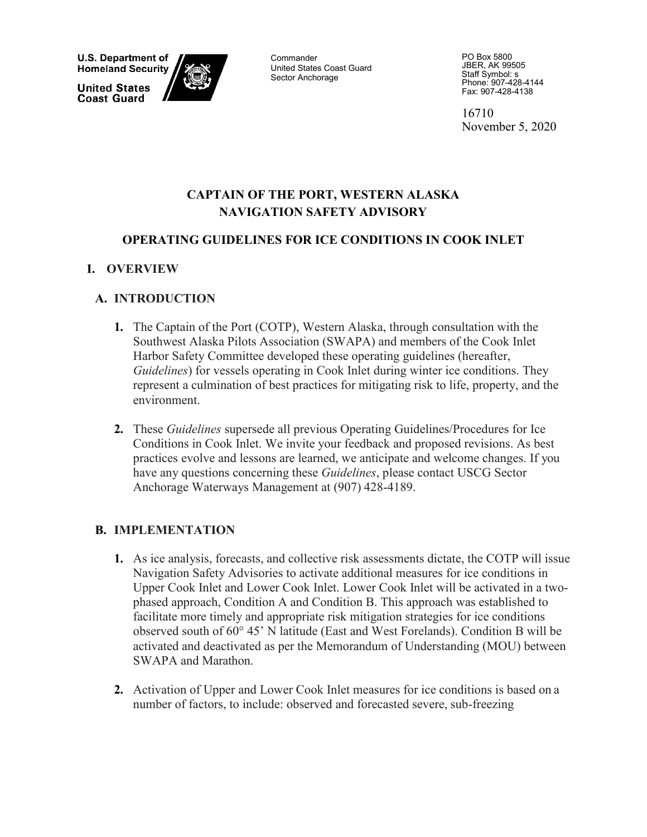**U.S. Department of Homeland Security** 

**United States Coast Guard** 



**Commander** United States Coast Guard Sector Anchorage

PO Box 5800 JBER, AK 99505 Staff Symbol: s Phone: 907-428-4144 Fax: 907-428-4138

16710 November 5, 2020

### **CAPTAIN OF THE PORT, WESTERN ALASKA NAVIGATION SAFETY ADVISORY**

#### **OPERATING GUIDELINES FOR ICE CONDITIONS IN COOK INLET**

#### **I. OVERVIEW**

#### **A. INTRODUCTION**

- **1.** The Captain of the Port (COTP), Western Alaska, through consultation with the Southwest Alaska Pilots Association (SWAPA) and members of the Cook Inlet Harbor Safety Committee developed these operating guidelines (hereafter, *Guidelines*) for vessels operating in Cook Inlet during winter ice conditions. They represent a culmination of best practices for mitigating risk to life, property, and the environment.
- **2.** These *Guidelines* supersede all previous Operating Guidelines/Procedures for Ice Conditions in Cook Inlet. We invite your feedback and proposed revisions. As best practices evolve and lessons are learned, we anticipate and welcome changes. If you have any questions concerning these *Guidelines*, please contact USCG Sector Anchorage Waterways Management at (907) 428-4189.

#### **B. IMPLEMENTATION**

- **1.** As ice analysis, forecasts, and collective risk assessments dictate, the COTP will issue Navigation Safety Advisories to activate additional measures for ice conditions in Upper Cook Inlet and Lower Cook Inlet. Lower Cook Inlet will be activated in a twophased approach, Condition A and Condition B. This approach was established to facilitate more timely and appropriate risk mitigation strategies for ice conditions observed south of 60° 45' N latitude (East and West Forelands). Condition B will be activated and deactivated as per the Memorandum of Understanding (MOU) between SWAPA and Marathon.
- **2.** Activation of Upper and Lower Cook Inlet measures for ice conditions is based on a number of factors, to include: observed and forecasted severe, sub-freezing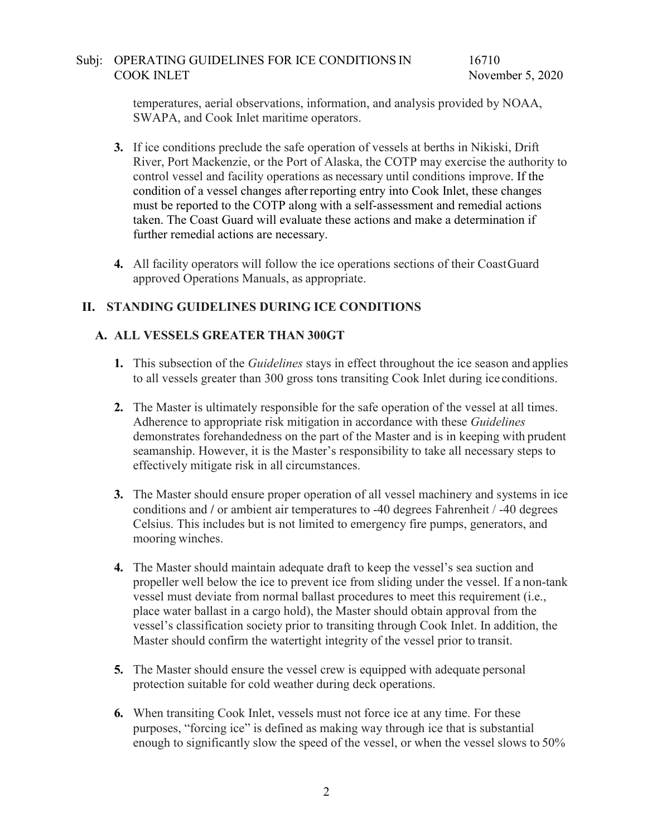temperatures, aerial observations, information, and analysis provided by NOAA, SWAPA, and Cook Inlet maritime operators.

- **3.** If ice conditions preclude the safe operation of vessels at berths in Nikiski, Drift River, Port Mackenzie, or the Port of Alaska, the COTP may exercise the authority to control vessel and facility operations as necessary until conditions improve. If the condition of a vessel changes afterreporting entry into Cook Inlet, these changes must be reported to the COTP along with a self-assessment and remedial actions taken. The Coast Guard will evaluate these actions and make a determination if further remedial actions are necessary.
- **4.** All facility operators will follow the ice operations sections of their CoastGuard approved Operations Manuals, as appropriate.

#### **II. STANDING GUIDELINES DURING ICE CONDITIONS**

#### **A. ALL VESSELS GREATER THAN 300GT**

- **1.** This subsection of the *Guidelines* stays in effect throughout the ice season and applies to all vessels greater than 300 gross tons transiting Cook Inlet during ice conditions.
- **2.** The Master is ultimately responsible for the safe operation of the vessel at all times. Adherence to appropriate risk mitigation in accordance with these *Guidelines*  demonstrates forehandedness on the part of the Master and is in keeping with prudent seamanship. However, it is the Master's responsibility to take all necessary steps to effectively mitigate risk in all circumstances.
- **3.** The Master should ensure proper operation of all vessel machinery and systems in ice conditions and **/** or ambient air temperatures to -40 degrees Fahrenheit / -40 degrees Celsius. This includes but is not limited to emergency fire pumps, generators, and mooring winches.
- **4.** The Master should maintain adequate draft to keep the vessel's sea suction and propeller well below the ice to prevent ice from sliding under the vessel. If a non-tank vessel must deviate from normal ballast procedures to meet this requirement (i.e., place water ballast in a cargo hold), the Master should obtain approval from the vessel's classification society prior to transiting through Cook Inlet. In addition, the Master should confirm the watertight integrity of the vessel prior to transit.
- **5.** The Master should ensure the vessel crew is equipped with adequate personal protection suitable for cold weather during deck operations.
- **6.** When transiting Cook Inlet, vessels must not force ice at any time. For these purposes, "forcing ice" is defined as making way through ice that is substantial enough to significantly slow the speed of the vessel, or when the vessel slows to 50%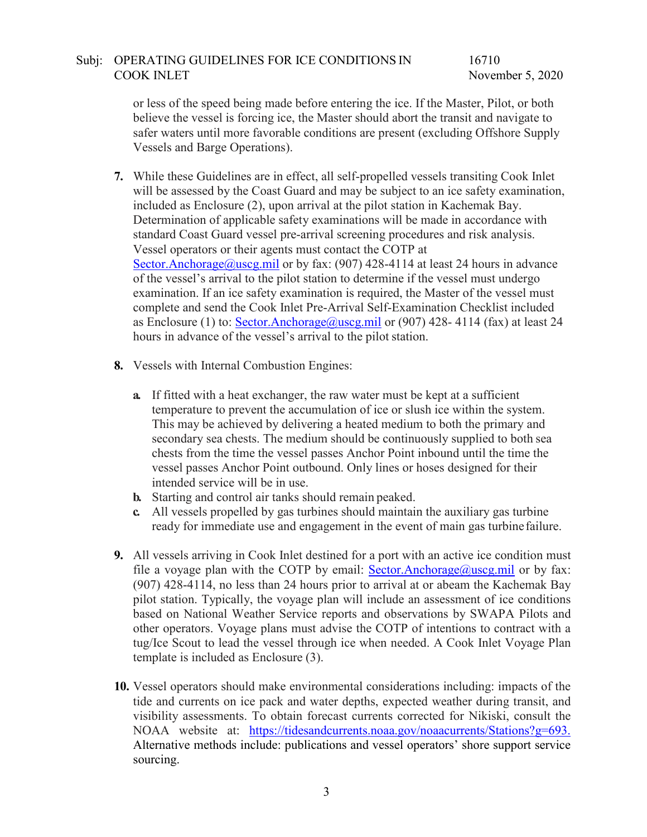16710 November 5, 2020

or less of the speed being made before entering the ice. If the Master, Pilot, or both believe the vessel is forcing ice, the Master should abort the transit and navigate to safer waters until more favorable conditions are present (excluding Offshore Supply Vessels and Barge Operations).

- **7.** While these Guidelines are in effect, all self-propelled vessels transiting Cook Inlet will be assessed by the Coast Guard and may be subject to an ice safety examination, included as Enclosure (2), upon arrival at the pilot station in Kachemak Bay. Determination of applicable safety examinations will be made in accordance with standard Coast Guard vessel pre-arrival screening procedures and risk analysis. Vessel operators or their agents must contact the COTP at [Sector.Anchorage@uscg.mil](mailto:Sector.Anchorage@uscg.mil) or by fax:  $(907)$  428-4114 at least 24 hours in advance of the vessel's arrival to the pilot station to determine if the vessel must undergo examination. If an ice safety examination is required, the Master of the vessel must complete and send the Cook Inlet Pre-Arrival Self-Examination Checklist included as Enclosure (1) to: [Sector.Anchorage@uscg.mil](mailto:Sector.Anchorage@uscg.mil) or (907) 428-4114 (fax) at least 24 hours in advance of the vessel's arrival to the pilot station.
- **8.** Vessels with Internal Combustion Engines:
	- **a.** If fitted with a heat exchanger, the raw water must be kept at a sufficient temperature to prevent the accumulation of ice or slush ice within the system. This may be achieved by delivering a heated medium to both the primary and secondary sea chests. The medium should be continuously supplied to both sea chests from the time the vessel passes Anchor Point inbound until the time the vessel passes Anchor Point outbound. Only lines or hoses designed for their intended service will be in use.
	- **b.** Starting and control air tanks should remain peaked.
	- **c.** All vessels propelled by gas turbines should maintain the auxiliary gas turbine ready for immediate use and engagement in the event of main gas turbinefailure.
- **9.** All vessels arriving in Cook Inlet destined for a port with an active ice condition must file a voyage plan with the COTP by email: [Sector.Anchorage@uscg.mil](mailto:%20Sector.Anchorage@uscg.mil) or by fax: (907) 428-4114, no less than 24 hours prior to arrival at or abeam the Kachemak Bay pilot station. Typically, the voyage plan will include an assessment of ice conditions based on National Weather Service reports and observations by SWAPA Pilots and other operators. Voyage plans must advise the COTP of intentions to contract with a tug/Ice Scout to lead the vessel through ice when needed. A Cook Inlet Voyage Plan template is included as Enclosure (3).
- **10.** Vessel operators should make environmental considerations including: impacts of the tide and currents on ice pack and water depths, expected weather during transit, and visibility assessments. To obtain forecast currents corrected for Nikiski, consult the NOAA website at: [https://tidesandcurrents.noaa.gov/noaacurrents/Stations?g=693.](https://tidesandcurrents.noaa.gov/noaacurrents/Stations?g=693) Alternative methods include: publications and vessel operators' shore support service sourcing.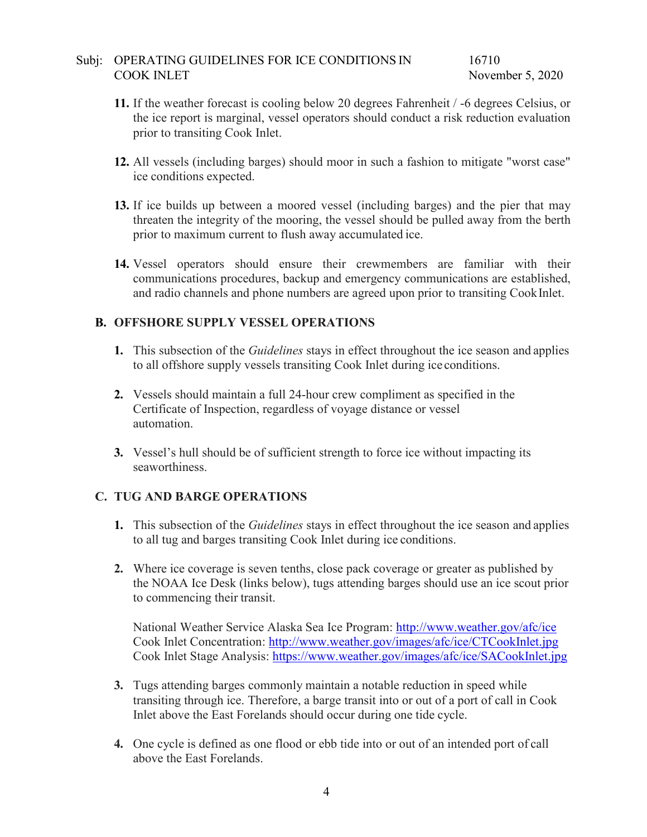16710 November 5, 2020

- **11.** If the weather forecast is cooling below 20 degrees Fahrenheit / -6 degrees Celsius, or the ice report is marginal, vessel operators should conduct a risk reduction evaluation prior to transiting Cook Inlet.
- **12.** All vessels (including barges) should moor in such a fashion to mitigate "worst case" ice conditions expected.
- **13.** If ice builds up between a moored vessel (including barges) and the pier that may threaten the integrity of the mooring, the vessel should be pulled away from the berth prior to maximum current to flush away accumulated ice.
- **14.** Vessel operators should ensure their crewmembers are familiar with their communications procedures, backup and emergency communications are established, and radio channels and phone numbers are agreed upon prior to transiting CookInlet.

#### **B. OFFSHORE SUPPLY VESSEL OPERATIONS**

- **1.** This subsection of the *Guidelines* stays in effect throughout the ice season and applies to all offshore supply vessels transiting Cook Inlet during ice conditions.
- **2.** Vessels should maintain a full 24-hour crew compliment as specified in the Certificate of Inspection, regardless of voyage distance or vessel automation.
- **3.** Vessel's hull should be of sufficient strength to force ice without impacting its seaworthiness.

#### **C. TUG AND BARGE OPERATIONS**

- **1.** This subsection of the *Guidelines* stays in effect throughout the ice season and applies to all tug and barges transiting Cook Inlet during ice conditions.
- **2.** Where ice coverage is seven tenths, close pack coverage or greater as published by the NOAA Ice Desk (links below), tugs attending barges should use an ice scout prior to commencing their transit.

National Weather Service Alaska Sea Ice Program:<http://www.weather.gov/afc/ice> Cook Inlet Concentration:<http://www.weather.gov/images/afc/ice/CTCookInlet.jpg> Cook Inlet Stage Analysis:<https://www.weather.gov/images/afc/ice/SACookInlet.jpg>

- **3.** Tugs attending barges commonly maintain a notable reduction in speed while transiting through ice. Therefore, a barge transit into or out of a port of call in Cook Inlet above the East Forelands should occur during one tide cycle.
- **4.** One cycle is defined as one flood or ebb tide into or out of an intended port of call above the East Forelands.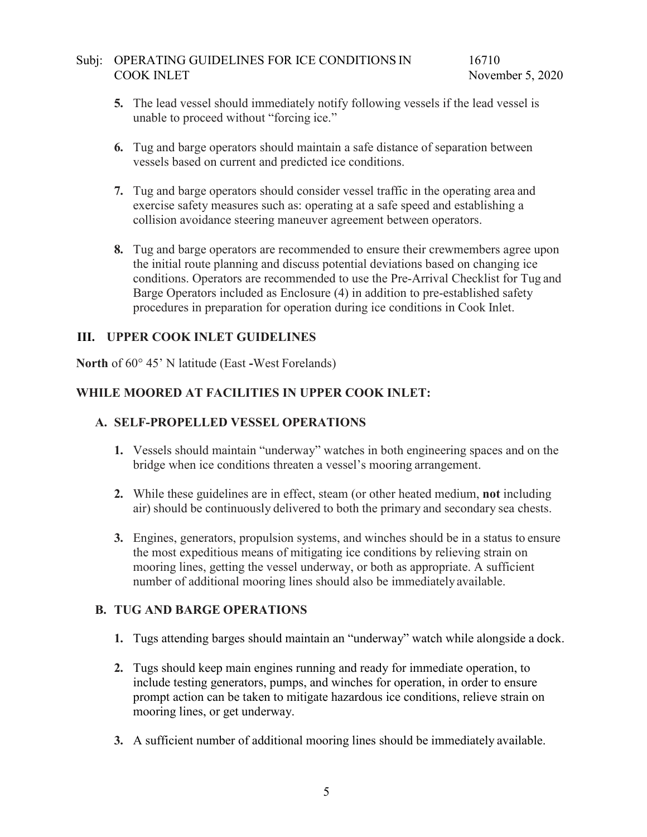- **5.** The lead vessel should immediately notify following vessels if the lead vessel is unable to proceed without "forcing ice."
- **6.** Tug and barge operators should maintain a safe distance of separation between vessels based on current and predicted ice conditions.
- **7.** Tug and barge operators should consider vessel traffic in the operating area and exercise safety measures such as: operating at a safe speed and establishing a collision avoidance steering maneuver agreement between operators.
- **8.** Tug and barge operators are recommended to ensure their crewmembers agree upon the initial route planning and discuss potential deviations based on changing ice conditions. Operators are recommended to use the Pre-Arrival Checklist for Tug and Barge Operators included as Enclosure (4) in addition to pre-established safety procedures in preparation for operation during ice conditions in Cook Inlet.

#### **III. UPPER COOK INLET GUIDELINES**

**North** of 60° 45' N latitude (East **-**West Forelands)

#### **WHILE MOORED AT FACILITIES IN UPPER COOK INLET:**

#### **A. SELF-PROPELLED VESSEL OPERATIONS**

- **1.** Vessels should maintain "underway" watches in both engineering spaces and on the bridge when ice conditions threaten a vessel's mooring arrangement.
- **2.** While these guidelines are in effect, steam (or other heated medium, **not** including air) should be continuously delivered to both the primary and secondary sea chests.
- **3.** Engines, generators, propulsion systems, and winches should be in a status to ensure the most expeditious means of mitigating ice conditions by relieving strain on mooring lines, getting the vessel underway, or both as appropriate. A sufficient number of additional mooring lines should also be immediately available.

#### **B. TUG AND BARGE OPERATIONS**

- **1.** Tugs attending barges should maintain an "underway" watch while alongside a dock.
- **2.** Tugs should keep main engines running and ready for immediate operation, to include testing generators, pumps, and winches for operation, in order to ensure prompt action can be taken to mitigate hazardous ice conditions, relieve strain on mooring lines, or get underway.
- **3.** A sufficient number of additional mooring lines should be immediately available.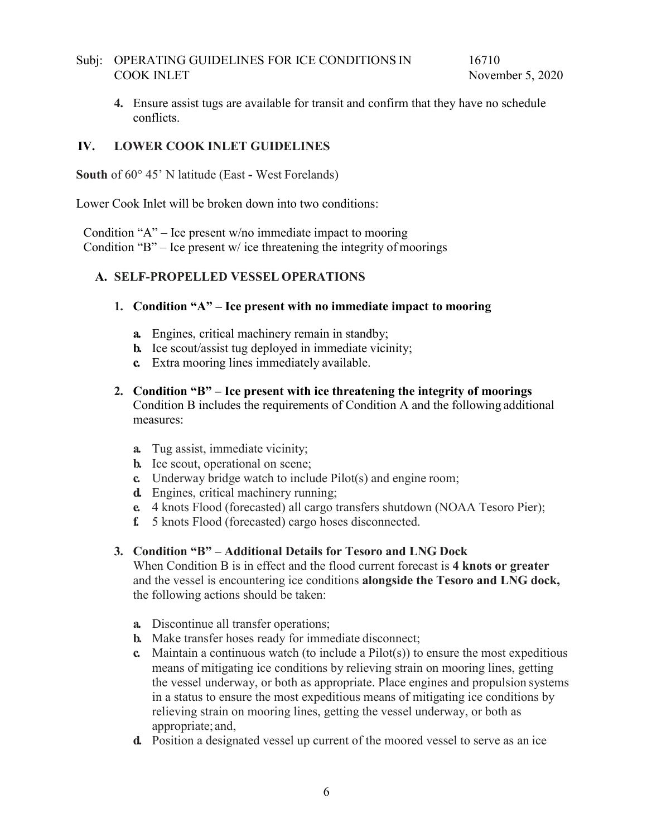**4.** Ensure assist tugs are available for transit and confirm that they have no schedule conflicts.

#### **IV. LOWER COOK INLET GUIDELINES**

**South** of 60° 45' N latitude (East **-** West Forelands)

Lower Cook Inlet will be broken down into two conditions:

Condition "A" – Ice present w/no immediate impact to mooring Condition "B" – Ice present  $w$  ice threatening the integrity of moorings

#### **A. SELF-PROPELLED VESSEL OPERATIONS**

#### **1. Condition "A" – Ice present with no immediate impact to mooring**

- **a.** Engines, critical machinery remain in standby;
- **b.** Ice scout/assist tug deployed in immediate vicinity;
- **c.** Extra mooring lines immediately available.
- **2. Condition "B" – Ice present with ice threatening the integrity of moorings**  Condition B includes the requirements of Condition A and the following additional measures:
	- **a.** Tug assist, immediate vicinity;
	- **b.** Ice scout, operational on scene;
	- **c.** Underway bridge watch to include Pilot(s) and engine room;
	- **d.** Engines, critical machinery running;
	- **e.** 4 knots Flood (forecasted) all cargo transfers shutdown (NOAA Tesoro Pier);
	- **f.** 5 knots Flood (forecasted) cargo hoses disconnected.

#### **3. Condition "B" – Additional Details for Tesoro and LNG Dock**

When Condition B is in effect and the flood current forecast is **4 knots or greater**  and the vessel is encountering ice conditions **alongside the Tesoro and LNG dock,**  the following actions should be taken:

- **a.** Discontinue all transfer operations;
- **b.** Make transfer hoses ready for immediate disconnect;
- **c.** Maintain a continuous watch (to include a Pilot(s)) to ensure the most expeditious means of mitigating ice conditions by relieving strain on mooring lines, getting the vessel underway, or both as appropriate. Place engines and propulsion systems in a status to ensure the most expeditious means of mitigating ice conditions by relieving strain on mooring lines, getting the vessel underway, or both as appropriate; and,
- **d.** Position a designated vessel up current of the moored vessel to serve as an ice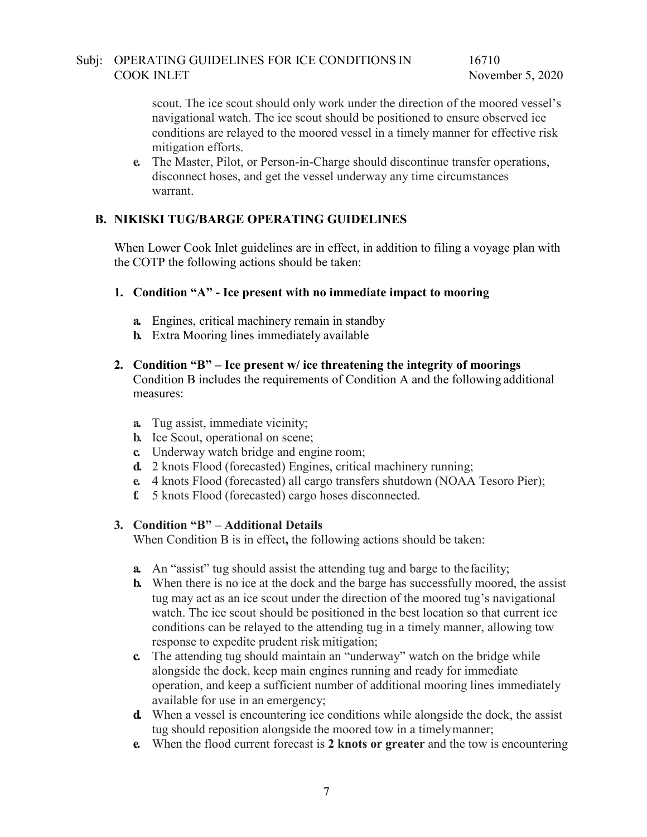16710 November 5, 2020

scout. The ice scout should only work under the direction of the moored vessel's navigational watch. The ice scout should be positioned to ensure observed ice conditions are relayed to the moored vessel in a timely manner for effective risk mitigation efforts.

**e.** The Master, Pilot, or Person-in-Charge should discontinue transfer operations, disconnect hoses, and get the vessel underway any time circumstances warrant.

#### **B. NIKISKI TUG/BARGE OPERATING GUIDELINES**

When Lower Cook Inlet guidelines are in effect, in addition to filing a voyage plan with the COTP the following actions should be taken:

#### **1. Condition "A" - Ice present with no immediate impact to mooring**

- **a.** Engines, critical machinery remain in standby
- **b.** Extra Mooring lines immediately available

#### **2. Condition "B" – Ice present w/ ice threatening the integrity of moorings**  Condition B includes the requirements of Condition A and the following additional measures:

- **a.** Tug assist, immediate vicinity;
- **b.** Ice Scout, operational on scene;
- **c.** Underway watch bridge and engine room;
- **d.** 2 knots Flood (forecasted) Engines, critical machinery running;
- **e.** 4 knots Flood (forecasted) all cargo transfers shutdown (NOAA Tesoro Pier);
- **f.** 5 knots Flood (forecasted) cargo hoses disconnected.

#### **3. Condition "B" – Additional Details**

When Condition B is in effect**,** the following actions should be taken:

- **a.** An "assist" tug should assist the attending tug and barge to thefacility;
- **b.** When there is no ice at the dock and the barge has successfully moored, the assist tug may act as an ice scout under the direction of the moored tug's navigational watch. The ice scout should be positioned in the best location so that current ice conditions can be relayed to the attending tug in a timely manner, allowing tow response to expedite prudent risk mitigation;
- **c.** The attending tug should maintain an "underway" watch on the bridge while alongside the dock, keep main engines running and ready for immediate operation, and keep a sufficient number of additional mooring lines immediately available for use in an emergency;
- **d.** When a vessel is encountering ice conditions while alongside the dock, the assist tug should reposition alongside the moored tow in a timelymanner;
- **e.** When the flood current forecast is **2 knots or greater** and the tow is encountering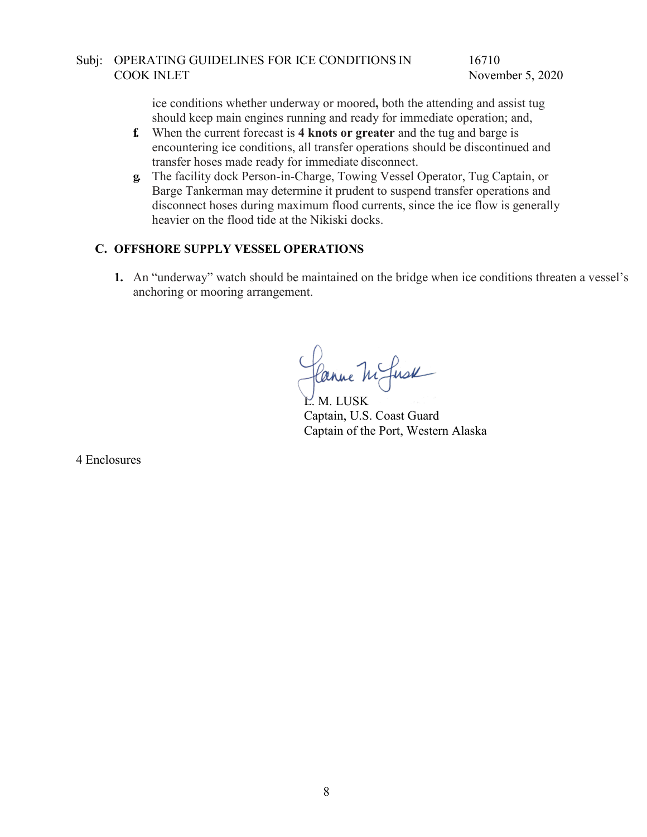16710 November 5, 2020

ice conditions whether underway or moored**,** both the attending and assist tug should keep main engines running and ready for immediate operation; and,

- **f.** When the current forecast is **4 knots or greater** and the tug and barge is encountering ice conditions, all transfer operations should be discontinued and transfer hoses made ready for immediate disconnect.
- **g.** The facility dock Person-in-Charge, Towing Vessel Operator, Tug Captain, or Barge Tankerman may determine it prudent to suspend transfer operations and disconnect hoses during maximum flood currents, since the ice flow is generally heavier on the flood tide at the Nikiski docks.

#### **C. OFFSHORE SUPPLY VESSEL OPERATIONS**

**1.** An "underway" watch should be maintained on the bridge when ice conditions threaten a vessel's anchoring or mooring arrangement.

Canne M fusk

L. M. LUSK Captain, U.S. Coast Guard Captain of the Port, Western Alaska

4 Enclosures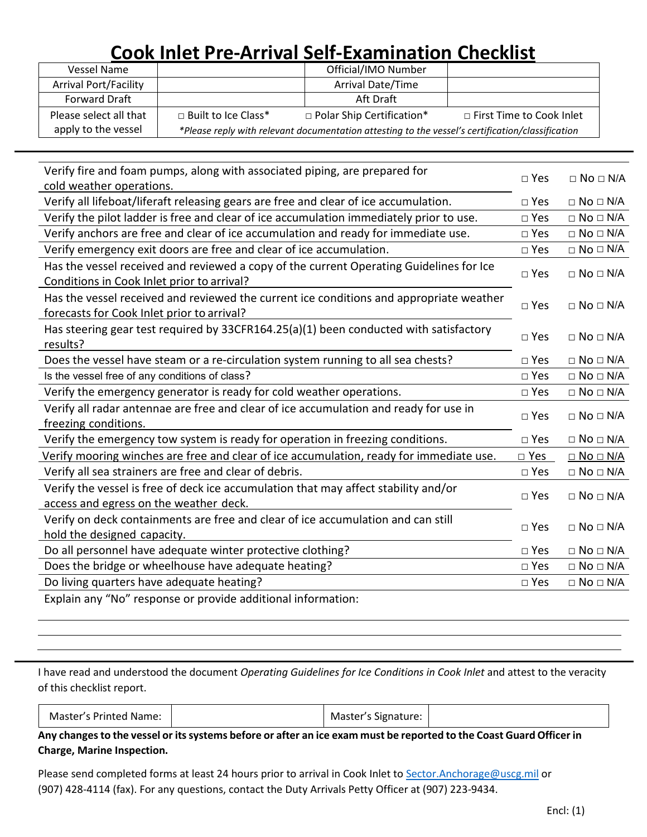# **Cook Inlet Pre-Arrival Self-Examination Checklist**

| Vessel Name                  |                                                                                                  | Official/IMO Number         |                            |
|------------------------------|--------------------------------------------------------------------------------------------------|-----------------------------|----------------------------|
| <b>Arrival Port/Facility</b> |                                                                                                  | <b>Arrival Date/Time</b>    |                            |
| <b>Forward Draft</b>         |                                                                                                  | Aft Draft                   |                            |
| Please select all that       | $\Box$ Built to Ice Class*                                                                       | □ Polar Ship Certification* | □ First Time to Cook Inlet |
| apply to the vessel          | *Please reply with relevant documentation attesting to the vessel's certification/classification |                             |                            |

| cold weather operations.                                                                                                              | □ Yes         | $\square$ No $\square$ N/A |
|---------------------------------------------------------------------------------------------------------------------------------------|---------------|----------------------------|
|                                                                                                                                       |               |                            |
| Verify all lifeboat/liferaft releasing gears are free and clear of ice accumulation.                                                  |               |                            |
| Verify the pilot ladder is free and clear of ice accumulation immediately prior to use.                                               | □ Yes         | $\square$ No $\square$ N/A |
| Verify anchors are free and clear of ice accumulation and ready for immediate use.                                                    | $\square$ Yes | $\Box$ No $\Box$ N/A       |
| Verify emergency exit doors are free and clear of ice accumulation.                                                                   | □ Yes         | $\square$ No $\square$ N/A |
| Has the vessel received and reviewed a copy of the current Operating Guidelines for Ice<br>Conditions in Cook Inlet prior to arrival? | $\square$ Yes | $\Box$ No $\Box$ N/A       |
| Has the vessel received and reviewed the current ice conditions and appropriate weather<br>forecasts for Cook Inlet prior to arrival? | □ Yes         | $\Box$ No $\Box$ N/A       |
| Has steering gear test required by 33CFR164.25(a)(1) been conducted with satisfactory<br>results?                                     | $\square$ Yes | $\Box$ No $\Box$ N/A       |
| Does the vessel have steam or a re-circulation system running to all sea chests?                                                      | $\square$ Yes | $\Box$ No $\Box$ N/A       |
| Is the vessel free of any conditions of class?                                                                                        | $\square$ Yes | $\Box$ No $\Box$ N/A       |
| Verify the emergency generator is ready for cold weather operations.                                                                  | $\square$ Yes | $\Box$ No $\Box$ N/A       |
| Verify all radar antennae are free and clear of ice accumulation and ready for use in                                                 |               |                            |
| freezing conditions.                                                                                                                  | $\square$ Yes | $\Box$ No $\Box$ N/A       |
| Verify the emergency tow system is ready for operation in freezing conditions.                                                        | $\square$ Yes | $\square$ No $\square$ N/A |
| Verify mooring winches are free and clear of ice accumulation, ready for immediate use.<br>$\square$ Yes                              |               | $\square$ No $\square$ N/A |
| Verify all sea strainers are free and clear of debris.                                                                                | $\square$ Yes | $\square$ No $\square$ N/A |
| Verify the vessel is free of deck ice accumulation that may affect stability and/or<br>access and egress on the weather deck.         | $\square$ Yes | $\Box$ No $\Box$ N/A       |
| Verify on deck containments are free and clear of ice accumulation and can still<br>hold the designed capacity.                       | $\square$ Yes | $\Box$ No $\Box$ N/A       |
| Do all personnel have adequate winter protective clothing?                                                                            | $\square$ Yes | $\square$ No $\square$ N/A |
| Does the bridge or wheelhouse have adequate heating?                                                                                  | $\square$ Yes | $\Box$ No $\Box$ N/A       |
| Do living quarters have adequate heating?                                                                                             | $\square$ Yes | $\Box$ No $\Box$ N/A       |

Explain any "No" response or provide additional information:

I have read and understood the document *Operating Guidelines for Ice Conditions in Cook Inlet* and attest to the veracity of this checklist report.

| Master's Printed Name: |  | Master's Signature: |  |
|------------------------|--|---------------------|--|
|------------------------|--|---------------------|--|

Any changes to the vessel or its systems before or after an ice exam must be reported to the Coast Guard Officer in **Charge, Marine Inspection.**

Please send completed forms at least 24 hours prior to arrival in Cook Inlet to [Sector.Anchorage@uscg.mil](mailto:Sector.Anchorage@uscg.mil) or (907) 428-4114 (fax). For any questions, contact the Duty Arrivals Petty Officer at (907) 223-9434.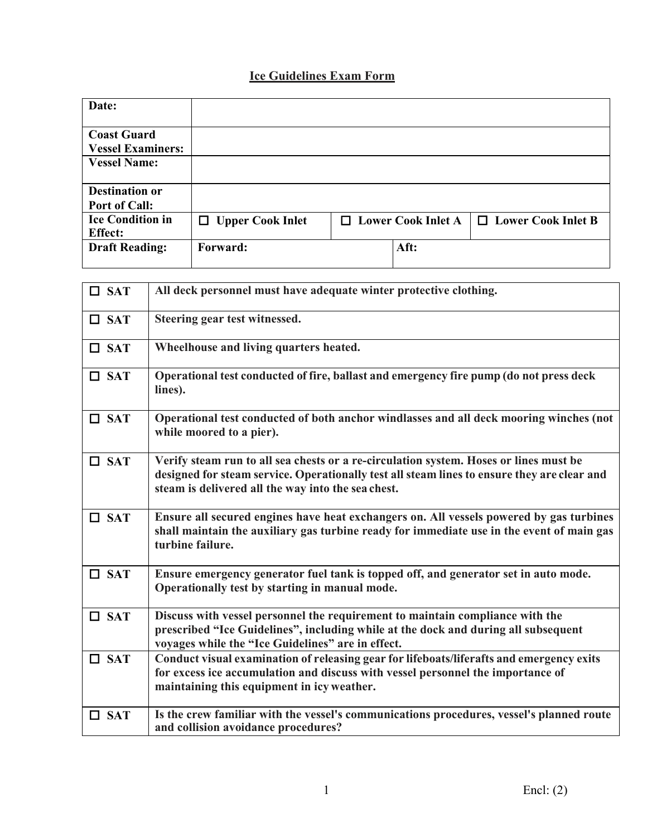### **Ice Guidelines Exam Form**

| Date:                    |                         |                           |                      |
|--------------------------|-------------------------|---------------------------|----------------------|
| <b>Coast Guard</b>       |                         |                           |                      |
| <b>Vessel Examiners:</b> |                         |                           |                      |
| <b>Vessel Name:</b>      |                         |                           |                      |
|                          |                         |                           |                      |
| <b>Destination or</b>    |                         |                           |                      |
| <b>Port of Call:</b>     |                         |                           |                      |
| <b>Ice Condition in</b>  | $\Box$ Upper Cook Inlet | $\Box$ Lower Cook Inlet A | □ Lower Cook Inlet B |
| <b>Effect:</b>           |                         |                           |                      |
| <b>Draft Reading:</b>    | <b>Forward:</b>         | Aft:                      |                      |
|                          |                         |                           |                      |

| $\square$ SAT | All deck personnel must have adequate winter protective clothing.                                                                                                                                                                          |
|---------------|--------------------------------------------------------------------------------------------------------------------------------------------------------------------------------------------------------------------------------------------|
| $\Box$ SAT    | Steering gear test witnessed.                                                                                                                                                                                                              |
| $\square$ SAT | Wheelhouse and living quarters heated.                                                                                                                                                                                                     |
| $\Box$ SAT    | Operational test conducted of fire, ballast and emergency fire pump (do not press deck<br>lines).                                                                                                                                          |
| $\Box$ SAT    | Operational test conducted of both anchor windlasses and all deck mooring winches (not<br>while moored to a pier).                                                                                                                         |
| $\Box$ SAT    | Verify steam run to all sea chests or a re-circulation system. Hoses or lines must be<br>designed for steam service. Operationally test all steam lines to ensure they are clear and<br>steam is delivered all the way into the sea chest. |
| $\Box$ SAT    | Ensure all secured engines have heat exchangers on. All vessels powered by gas turbines<br>shall maintain the auxiliary gas turbine ready for immediate use in the event of main gas<br>turbine failure.                                   |
| $\Box$ SAT    | Ensure emergency generator fuel tank is topped off, and generator set in auto mode.<br>Operationally test by starting in manual mode.                                                                                                      |
| $\Box$ SAT    | Discuss with vessel personnel the requirement to maintain compliance with the<br>prescribed "Ice Guidelines", including while at the dock and during all subsequent<br>voyages while the "Ice Guidelines" are in effect.                   |
| $\Box$ SAT    | Conduct visual examination of releasing gear for lifeboats/liferafts and emergency exits<br>for excess ice accumulation and discuss with vessel personnel the importance of<br>maintaining this equipment in icy weather.                  |
| $\square$ SAT | Is the crew familiar with the vessel's communications procedures, vessel's planned route<br>and collision avoidance procedures?                                                                                                            |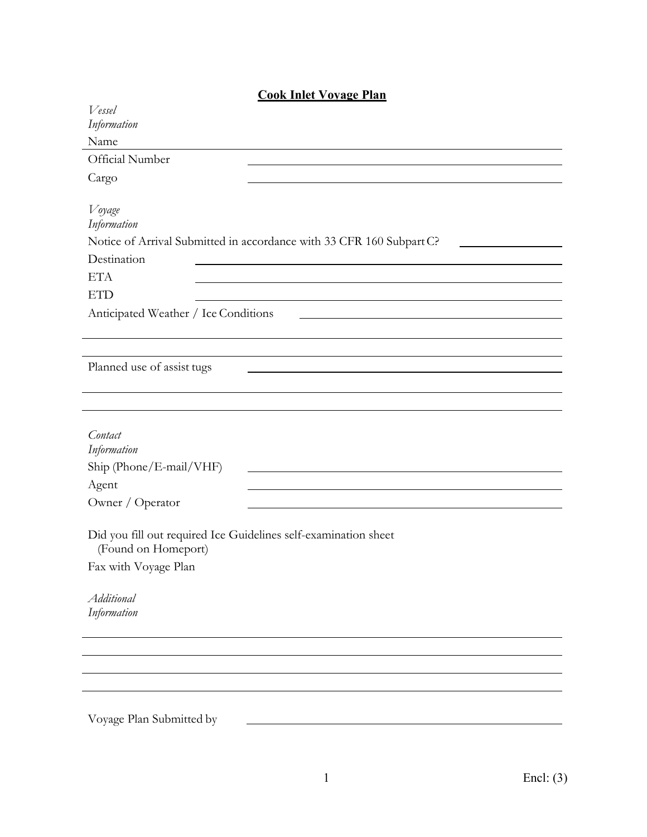| <b>Cook Inlet Vovage Plan</b> |  |  |  |
|-------------------------------|--|--|--|
|                               |  |  |  |

| Vessel                                                               |
|----------------------------------------------------------------------|
| Information                                                          |
| Name                                                                 |
| Official Number                                                      |
| Cargo                                                                |
|                                                                      |
| Voyage                                                               |
| Information                                                          |
| Notice of Arrival Submitted in accordance with 33 CFR 160 Subpart C? |
| Destination                                                          |
| <b>ETA</b>                                                           |
| <b>ETD</b>                                                           |
| Anticipated Weather / Ice Conditions                                 |
|                                                                      |
|                                                                      |
| Planned use of assist tugs                                           |
|                                                                      |
|                                                                      |
|                                                                      |
| Contact                                                              |
| Information                                                          |
| Ship (Phone/E-mail/VHF)                                              |
| Agent                                                                |
| Owner / Operator                                                     |
|                                                                      |
| Did you fill out required Ice Guidelines self-examination sheet      |
| (Found on Homeport)                                                  |
| Fax with Voyage Plan                                                 |
| Additional                                                           |
| Information                                                          |
|                                                                      |
|                                                                      |
|                                                                      |
|                                                                      |
|                                                                      |
|                                                                      |
| Voyage Plan Submitted by                                             |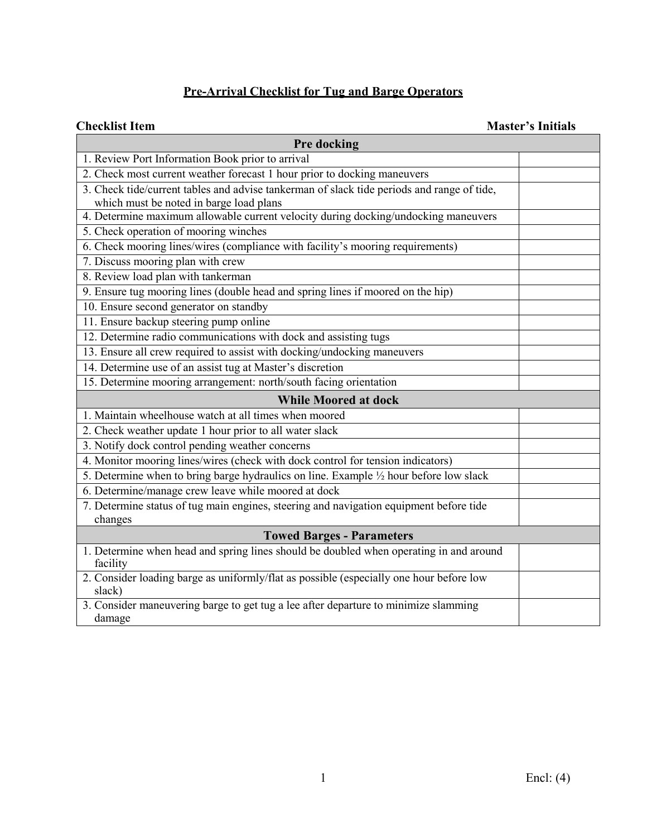## **Pre-Arrival Checklist for Tug and Barge Operators**

#### **Checklist Item Master's Initials**

| Pre docking                                                                                       |  |  |  |  |
|---------------------------------------------------------------------------------------------------|--|--|--|--|
| 1. Review Port Information Book prior to arrival                                                  |  |  |  |  |
| 2. Check most current weather forecast 1 hour prior to docking maneuvers                          |  |  |  |  |
| 3. Check tide/current tables and advise tankerman of slack tide periods and range of tide,        |  |  |  |  |
| which must be noted in barge load plans                                                           |  |  |  |  |
| 4. Determine maximum allowable current velocity during docking/undocking maneuvers                |  |  |  |  |
| 5. Check operation of mooring winches                                                             |  |  |  |  |
| 6. Check mooring lines/wires (compliance with facility's mooring requirements)                    |  |  |  |  |
| 7. Discuss mooring plan with crew                                                                 |  |  |  |  |
| 8. Review load plan with tankerman                                                                |  |  |  |  |
| 9. Ensure tug mooring lines (double head and spring lines if moored on the hip)                   |  |  |  |  |
| 10. Ensure second generator on standby                                                            |  |  |  |  |
| 11. Ensure backup steering pump online                                                            |  |  |  |  |
| 12. Determine radio communications with dock and assisting tugs                                   |  |  |  |  |
| 13. Ensure all crew required to assist with docking/undocking maneuvers                           |  |  |  |  |
| 14. Determine use of an assist tug at Master's discretion                                         |  |  |  |  |
| 15. Determine mooring arrangement: north/south facing orientation                                 |  |  |  |  |
| <b>While Moored at dock</b>                                                                       |  |  |  |  |
| 1. Maintain wheelhouse watch at all times when moored                                             |  |  |  |  |
| 2. Check weather update 1 hour prior to all water slack                                           |  |  |  |  |
| 3. Notify dock control pending weather concerns                                                   |  |  |  |  |
| 4. Monitor mooring lines/wires (check with dock control for tension indicators)                   |  |  |  |  |
| 5. Determine when to bring barge hydraulics on line. Example 1/2 hour before low slack            |  |  |  |  |
| 6. Determine/manage crew leave while moored at dock                                               |  |  |  |  |
| 7. Determine status of tug main engines, steering and navigation equipment before tide            |  |  |  |  |
| changes                                                                                           |  |  |  |  |
| <b>Towed Barges - Parameters</b>                                                                  |  |  |  |  |
| 1. Determine when head and spring lines should be doubled when operating in and around            |  |  |  |  |
| facility                                                                                          |  |  |  |  |
| 2. Consider loading barge as uniformly/flat as possible (especially one hour before low<br>slack) |  |  |  |  |
| 3. Consider maneuvering barge to get tug a lee after departure to minimize slamming               |  |  |  |  |
| damage                                                                                            |  |  |  |  |